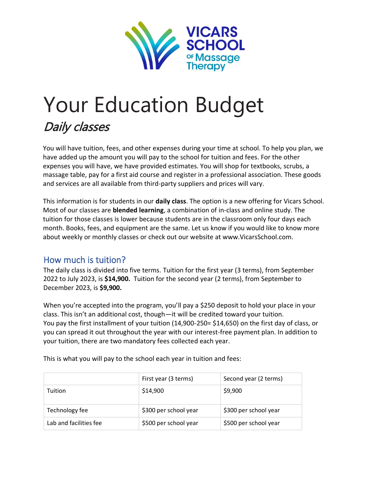

# Your Education Budget Daily classes

You will have tuition, fees, and other expenses during your time at school. To help you plan, we have added up the amount you will pay to the school for tuition and fees. For the other expenses you will have, we have provided estimates. You will shop for textbooks, scrubs, a massage table, pay for a first aid course and register in a professional association. These goods and services are all available from third-party suppliers and prices will vary.

This information is for students in our **daily class**. The option is a new offering for Vicars School. Most of our classes are **blended learning**, a combination of in-class and online study. The tuition for those classes is lower because students are in the classroom only four days each month. Books, fees, and equipment are the same. Let us know if you would like to know more about weekly or monthly classes or check out our website at www.VicarsSchool.com.

# How much is tuition?

The daily class is divided into five terms. Tuition for the first year (3 terms), from September 2022 to July 2023, is **\$14,900.** Tuition for the second year (2 terms), from September to December 2023, is **\$9,900.**

When you're accepted into the program, you'll pay a \$250 deposit to hold your place in your class. This isn't an additional cost, though—it will be credited toward your tuition. You pay the first installment of your tuition (14,900-250= \$14,650) on the first day of class, or you can spread it out throughout the year with our interest-free payment plan. In addition to your tuition, there are two mandatory fees collected each year.

|                        | First year (3 terms)  | Second year (2 terms) |
|------------------------|-----------------------|-----------------------|
| Tuition                | \$14,900              | \$9,900               |
| Technology fee         | \$300 per school year | \$300 per school year |
| Lab and facilities fee | \$500 per school year | \$500 per school year |

This is what you will pay to the school each year in tuition and fees: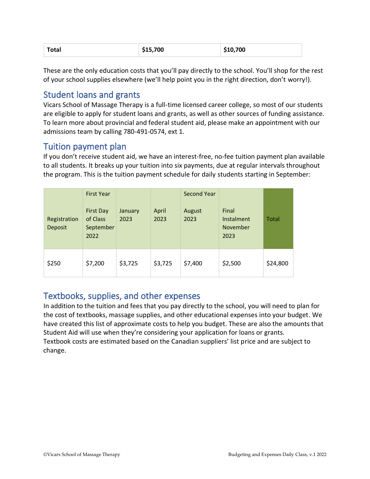| \$15,700<br>\$10,700<br><b>Total</b> |  |
|--------------------------------------|--|
|--------------------------------------|--|

These are the only education costs that you'll pay directly to the school. You'll shop for the rest of your school supplies elsewhere (we'll help point you in the right direction, don't worry!).

# Student loans and grants

Vicars School of Massage Therapy is a full-time licensed career college, so most of our students are eligible to apply for student loans and grants, as well as other sources of funding assistance. To learn more about provincial and federal student aid, please make an appointment with our admissions team by calling 780-491-0574, ext 1.

# Tuition payment plan

If you don't receive student aid, we have an interest-free, no-fee tuition payment plan available to all students. It breaks up your tuition into six payments, due at regular intervals throughout the program. This is the tuition payment schedule for daily students starting in September:

| Registration<br>Deposit | <b>First Year</b><br><b>First Day</b><br>of Class<br>September<br>2022 | January<br>2023 | April<br>2023 | Second Year<br>August<br>2023 | Final<br>Instalment<br>November<br>2023 | Total    |
|-------------------------|------------------------------------------------------------------------|-----------------|---------------|-------------------------------|-----------------------------------------|----------|
| \$250                   | \$7,200                                                                | \$3,725         | \$3,725       | \$7,400                       | \$2,500                                 | \$24,800 |

## Textbooks, supplies, and other expenses

In addition to the tuition and fees that you pay directly to the school, you will need to plan for the cost of textbooks, massage supplies, and other educational expenses into your budget. We have created this list of approximate costs to help you budget. These are also the amounts that Student Aid will use when they're considering your application for loans or grants. Textbook costs are estimated based on the Canadian suppliers' list price and are subject to change.